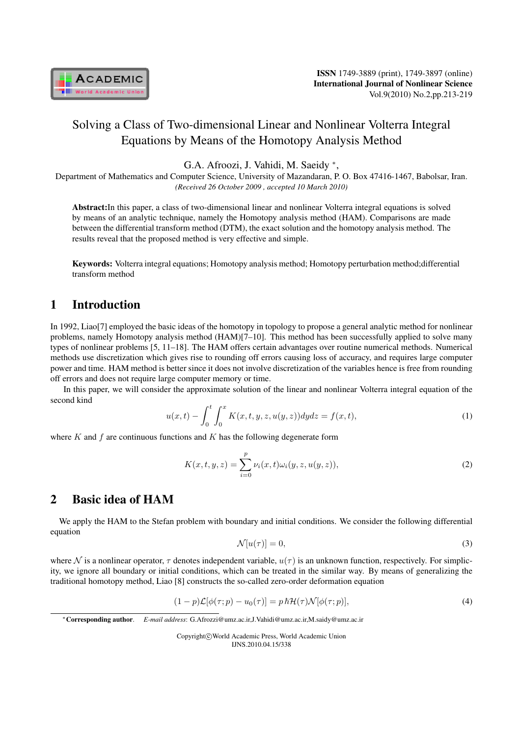

# Solving a Class of Two-dimensional Linear and Nonlinear Volterra Integral Equations by Means of the Homotopy Analysis Method

G.A. Afroozi, J. Vahidi, M. Saeidy *<sup>∗</sup>* ,

Department of Mathematics and Computer Science, University of Mazandaran, P. O. Box 47416-1467, Babolsar, Iran. *(Received 26 October 2009 , accepted 10 March 2010)*

Abstract:In this paper, a class of two-dimensional linear and nonlinear Volterra integral equations is solved by means of an analytic technique, namely the Homotopy analysis method (HAM). Comparisons are made between the differential transform method (DTM), the exact solution and the homotopy analysis method. The results reveal that the proposed method is very effective and simple.

Keywords: Volterra integral equations; Homotopy analysis method; Homotopy perturbation method;differential transform method

#### 1 Introduction

In 1992, Liao[7] employed the basic ideas of the homotopy in topology to propose a general analytic method for nonlinear problems, namely Homotopy analysis method (HAM)[7–10]. This method has been successfully applied to solve many types of nonlinear problems [5, 11–18]. The HAM offers certain advantages over routine numerical methods. Numerical methods use discretization which gives rise to rounding off errors causing loss of accuracy, and requires large computer power and time. HAM method is better since it does not involve discretization of the variables hence is free from rounding off errors and does not require large computer memory or time.

In this paper, we will consider the approximate solution of the linear and nonlinear Volterra integral equation of the second kind

$$
u(x,t) - \int_0^t \int_0^x K(x,t,y,z,u(y,z)) dydz = f(x,t),
$$
\n(1)

where  $K$  and  $f$  are continuous functions and  $K$  has the following degenerate form

$$
K(x, t, y, z) = \sum_{i=0}^{p} \nu_i(x, t) \omega_i(y, z, u(y, z)),
$$
\n(2)

#### 2 Basic idea of HAM

We apply the HAM to the Stefan problem with boundary and initial conditions. We consider the following differential equation

$$
\mathcal{N}[u(\tau)] = 0,\tag{3}
$$

where N is a nonlinear operator,  $\tau$  denotes independent variable,  $u(\tau)$  is an unknown function, respectively. For simplicity, we ignore all boundary or initial conditions, which can be treated in the similar way. By means of generalizing the traditional homotopy method, Liao [8] constructs the so-called zero-order deformation equation

$$
(1-p)\mathcal{L}[\phi(\tau;p) - u_0(\tau)] = p \hbar \mathcal{H}(\tau) \mathcal{N}[\phi(\tau;p)],\tag{4}
$$

Copyright*⃝*c World Academic Press, World Academic Union IJNS.2010.04.15/338

*<sup>∗</sup>*Corresponding author. *E-mail address*: G.Afrozzi@umz.ac.ir,J.Vahidi@umz.ac.ir,M.saidy@umz.ac.ir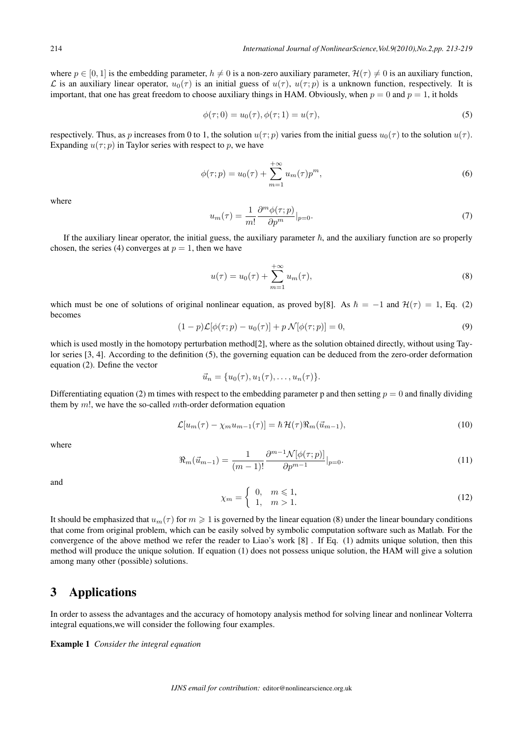where  $p \in [0, 1]$  is the embedding parameter,  $h \neq 0$  is a non-zero auxiliary parameter,  $\mathcal{H}(\tau) \neq 0$  is an auxiliary function, *L* is an auxiliary linear operator,  $u_0(\tau)$  is an initial guess of  $u(\tau)$ ,  $u(\tau;p)$  is a unknown function, respectively. It is important, that one has great freedom to choose auxiliary things in HAM. Obviously, when  $p = 0$  and  $p = 1$ , it holds

$$
\phi(\tau; 0) = u_0(\tau), \phi(\tau; 1) = u(\tau), \tag{5}
$$

respectively. Thus, as p increases from 0 to 1, the solution  $u(\tau; p)$  varies from the initial guess  $u_0(\tau)$  to the solution  $u(\tau)$ . Expanding  $u(\tau; p)$  in Taylor series with respect to p, we have

$$
\phi(\tau; p) = u_0(\tau) + \sum_{m=1}^{+\infty} u_m(\tau) p^m,
$$
\n(6)

where

$$
u_m(\tau) = \frac{1}{m!} \frac{\partial^m \phi(\tau; p)}{\partial p^m} |_{p=0}.
$$
\n<sup>(7)</sup>

If the auxiliary linear operator, the initial guess, the auxiliary parameter  $\hbar$ , and the auxiliary function are so properly chosen, the series (4) converges at  $p = 1$ , then we have

$$
u(\tau) = u_0(\tau) + \sum_{m=1}^{+\infty} u_m(\tau),
$$
\n(8)

which must be one of solutions of original nonlinear equation, as proved by[8]. As  $\hbar = -1$  and  $\mathcal{H}(\tau) = 1$ , Eq. (2) becomes

$$
(1-p)\mathcal{L}[\phi(\tau;p) - u_0(\tau)] + p\mathcal{N}[\phi(\tau;p)] = 0,
$$
\n(9)

which is used mostly in the homotopy perturbation method[2], where as the solution obtained directly, without using Taylor series [3, 4]. According to the definition (5), the governing equation can be deduced from the zero-order deformation equation (2). Define the vector

$$
\vec{u}_n = \{u_0(\tau), u_1(\tau), \ldots, u_n(\tau)\}.
$$

Differentiating equation (2) m times with respect to the embedding parameter p and then setting  $p = 0$  and finally dividing them by  $m!$ , we have the so-called  $m$ th-order deformation equation

$$
\mathcal{L}[u_m(\tau) - \chi_m u_{m-1}(\tau)] = \hbar \mathcal{H}(\tau) \Re_m(\vec{u}_{m-1}), \tag{10}
$$

where

$$
\Re_m(\vec{u}_{m-1}) = \frac{1}{(m-1)!} \frac{\partial^{m-1} \mathcal{N}[\phi(\tau;p)]}{\partial p^{m-1}}|_{p=0}.
$$
\n(11)

and

$$
\chi_m = \left\{ \begin{array}{ll} 0, & m \le 1, \\ 1, & m > 1. \end{array} \right. \tag{12}
$$

It should be emphasized that  $u_m(\tau)$  for  $m \geq 1$  is governed by the linear equation (8) under the linear boundary conditions that come from original problem, which can be easily solved by symbolic computation software such as Matlab. For the convergence of the above method we refer the reader to Liao's work [8] . If Eq. (1) admits unique solution, then this method will produce the unique solution. If equation (1) does not possess unique solution, the HAM will give a solution among many other (possible) solutions.

#### 3 Applications

In order to assess the advantages and the accuracy of homotopy analysis method for solving linear and nonlinear Volterra integral equations,we will consider the following four examples.

Example 1 *Consider the integral equation*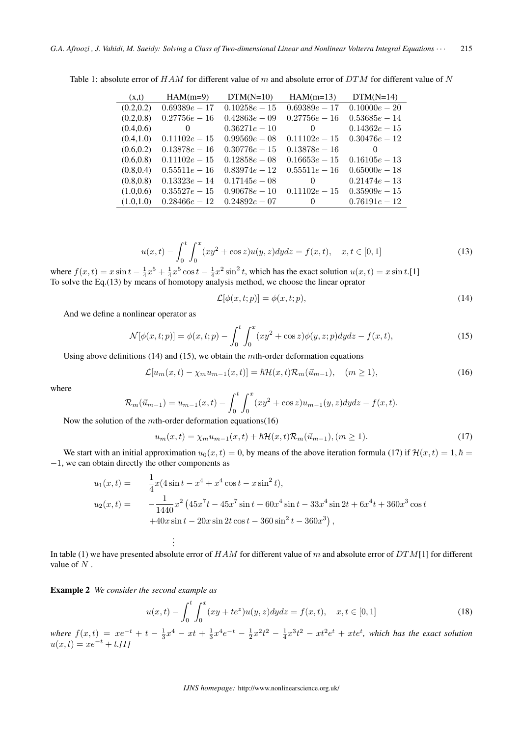| (x,t)      | $HAM(m=9)$      | $DTM(N=10)$     | $HAM(m=13)$     | $DTM(N=14)$     |
|------------|-----------------|-----------------|-----------------|-----------------|
| (0.2, 0.2) | $0.69389e - 17$ | $0.10258e - 15$ | $0.69389e - 17$ | $0.10000e - 20$ |
| (0.2, 0.8) | $0.27756e - 16$ | $0.42863e - 09$ | $0.27756e - 16$ | $0.53685e - 14$ |
| (0.4, 0.6) | $\theta$        | $0.36271e - 10$ | 0               | $0.14362e - 15$ |
| (0.4, 1.0) | $0.11102e - 15$ | $0.99569e - 08$ | $0.11102e - 15$ | $0.30476e - 12$ |
| (0.6, 0.2) | $0.13878e - 16$ | $0.30776e - 15$ | $0.13878e - 16$ | $\Omega$        |
| (0.6, 0.8) | $0.11102e - 15$ | $0.12858e - 08$ | $0.16653e - 15$ | $0.16105e - 13$ |
| (0.8, 0.4) | $0.55511e - 16$ | $0.83974e - 12$ | $0.55511e - 16$ | $0.65000e - 18$ |
| (0.8, 0.8) | $0.13323e - 14$ | $0.17145e - 08$ | $\theta$        | $0.21474e - 13$ |
| (1.0, 0.6) | $0.35527e - 15$ | $0.90678e - 10$ | $0.11102e - 15$ | $0.35909e - 15$ |
| (1.0, 1.0) | $0.28466e - 12$ | $0.24892e - 07$ | $\overline{0}$  | $0.76191e - 12$ |

Table 1: absolute error of  $HAM$  for different value of m and absolute error of  $DTM$  for different value of N

$$
u(x,t) - \int_0^t \int_0^x (xy^2 + \cos z) u(y,z) dydz = f(x,t), \quad x, t \in [0,1]
$$
 (13)

where  $f(x, t) = x \sin t - \frac{1}{4}x^5 + \frac{1}{4}x^5 \cos t - \frac{1}{4}x^2 \sin^2 t$ , which has the exact solution  $u(x, t) = x \sin t$ .[1] To solve the Eq.(13) by means of homotopy analysis method, we choose the linear oprator

$$
\mathcal{L}[\phi(x,t;p)] = \phi(x,t;p),\tag{14}
$$

And we define a nonlinear operator as

$$
\mathcal{N}[\phi(x,t;p)] = \phi(x,t;p) - \int_0^t \int_0^x (xy^2 + \cos z)\phi(y,z;p)dydz - f(x,t),\tag{15}
$$

Using above definitions  $(14)$  and  $(15)$ , we obtain the mth-order deformation equations

$$
\mathcal{L}[u_m(x,t) - \chi_m u_{m-1}(x,t)] = \hbar \mathcal{H}(x,t) \mathcal{R}_m(\vec{u}_{m-1}), \quad (m \ge 1), \tag{16}
$$

where

$$
\mathcal{R}_{m}(\vec{u}_{m-1}) = u_{m-1}(x,t) - \int_{0}^{t} \int_{0}^{x} (xy^{2} + \cos z)u_{m-1}(y,z)dydz - f(x,t).
$$

Now the solution of the  $m$ th-order deformation equations(16)

. .

$$
u_m(x,t) = \chi_m u_{m-1}(x,t) + \hbar \mathcal{H}(x,t) \mathcal{R}_m(\vec{u}_{m-1}), (m \ge 1).
$$
 (17)

We start with an initial approximation  $u_0(x, t) = 0$ , by means of the above iteration formula (17) if  $\mathcal{H}(x, t) = 1, \hbar =$ *−*1, we can obtain directly the other components as

$$
u_1(x,t) = \frac{1}{4}x(4\sin t - x^4 + x^4\cos t - x\sin^2 t),
$$
  
\n
$$
u_2(x,t) = -\frac{1}{1440}x^2(45x^7t - 45x^7\sin t + 60x^4\sin t - 33x^4\sin 2t + 6x^4t + 360x^3\cos t
$$
  
\n
$$
+40x\sin t - 20x\sin 2t\cos t - 360\sin^2 t - 360x^3),
$$

. In table (1) we have presented absolute error of  $HAM$  for different value of m and absolute error of  $DTM[1]$  for different value of  $N$ .

Example 2 *We consider the second example as*

$$
u(x,t) - \int_0^t \int_0^x (xy + te^z)u(y,z)dydz = f(x,t), \quad x, t \in [0,1]
$$
 (18)

 $where f(x,t) = xe^{-t} + t - \frac{1}{3}x^4 - xt + \frac{1}{3}x^4e^{-t} - \frac{1}{2}x^2t^2 - \frac{1}{4}x^3t^2 - xt^2e^t + xte^t$ , which has the exact solution  $u(x,t) = xe^{-t} + t$ .[1]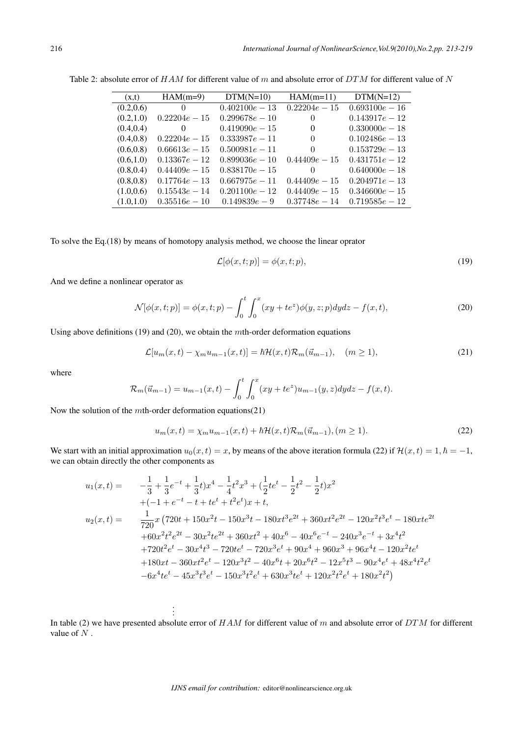| (x,t)      | $HAM(m=9)$       | $DTM(N=10)$      | $HAM(m=11)$     | $DTM(N=12)$      |
|------------|------------------|------------------|-----------------|------------------|
| (0.2, 0.6) | $\left( \right)$ | $0.402100e - 13$ | $0.22204e - 15$ | $0.693100e - 16$ |
| (0.2, 1.0) | $0.22204e - 15$  | $0.299678e - 10$ | $\theta$        | $0.143917e - 12$ |
| (0.4, 0.4) | $\theta$         | $0.419090e - 15$ | $\Omega$        | $0.330000e - 18$ |
| (0.4, 0.8) | $0.22204e - 15$  | $0.333987e - 11$ | $\Omega$        | $0.102486e - 13$ |
| (0.6, 0.8) | $0.66613e - 15$  | $0.500981e - 11$ | $\Omega$        | $0.153729e - 13$ |
| (0.6, 1.0) | $0.13367e - 12$  | $0.899036e - 10$ | $0.44409e - 15$ | $0.431751e - 12$ |
| (0.8, 0.4) | $0.44409e - 15$  | $0.838170e - 15$ | $\Omega$        | $0.640000e - 18$ |
| (0.8, 0.8) | $0.17764e - 13$  | $0.667975e - 11$ | $0.44409e - 15$ | $0.204971e - 13$ |
| (1.0, 0.6) | $0.15543e - 14$  | $0.201100e - 12$ | $0.44409e - 15$ | $0.346600e - 15$ |
| (1.0, 1.0) | $0.35516e - 10$  | $0.149839e - 9$  | $0.37748e - 14$ | $0.719585e - 12$ |

Table 2: absolute error of  $HAM$  for different value of m and absolute error of  $DTM$  for different value of N

To solve the Eq.(18) by means of homotopy analysis method, we choose the linear oprator

$$
\mathcal{L}[\phi(x,t;p)] = \phi(x,t;p),\tag{19}
$$

And we define a nonlinear operator as

$$
\mathcal{N}[\phi(x,t;p)] = \phi(x,t;p) - \int_0^t \int_0^x (xy + te^z)\phi(y,z;p)dydz - f(x,t),\tag{20}
$$

Using above definitions (19) and (20), we obtain the  $m$ th-order deformation equations

$$
\mathcal{L}[u_m(x,t) - \chi_m u_{m-1}(x,t)] = \hbar \mathcal{H}(x,t) \mathcal{R}_m(\vec{u}_{m-1}), \quad (m \ge 1), \tag{21}
$$

where

$$
\mathcal{R}_m(\vec{u}_{m-1}) = u_{m-1}(x,t) - \int_0^t \int_0^x (xy + te^z)u_{m-1}(y,z)dydz - f(x,t).
$$

Now the solution of the  $m$ th-order deformation equations(21)

$$
u_m(x,t) = \chi_m u_{m-1}(x,t) + \hbar \mathcal{H}(x,t) \mathcal{R}_m(\vec{u}_{m-1}), (m \ge 1).
$$
 (22)

We start with an initial approximation  $u_0(x, t) = x$ , by means of the above iteration formula (22) if  $\mathcal{H}(x, t) = 1, \hbar = -1$ , we can obtain directly the other components as

$$
u_1(x,t) = -\frac{1}{3} + \frac{1}{3}e^{-t} + \frac{1}{3}t)x^4 - \frac{1}{4}t^2x^3 + (\frac{1}{2}te^t - \frac{1}{2}t^2 - \frac{1}{2}t)x^2
$$
  
+(-1 + e<sup>-t</sup> - t + te<sup>t</sup> + t<sup>2</sup>e<sup>t</sup>)x + t,  

$$
u_2(x,t) = \frac{1}{720}x(720t + 150x^2t - 150x^3t - 180xt^3e^{2t} + 360xt^2e^{2t} - 120x^2t^3e^t - 180xte^{2t} + 60x^2t^2e^{2t} - 30x^2te^{2t} + 360xt^2 + 40x^6 - 40x^6e^{-t} - 240x^3e^{-t} + 3x^4t^2
$$

$$
+ 720t^2e^t - 30x^4t^3 - 720te^t - 720x^3e^t + 90x^4 + 960x^3 + 96x^4t - 120x^2te^t
$$

$$
+ 180xt - 360xt^2e^t - 120x^3t^2 - 40x^6t + 20x^6t^2 - 12x^5t^3 - 90x^4e^t + 48x^4t^2e^t
$$

$$
- 6x^4te^t - 45x^3t^3e^t - 150x^3t^2e^t + 630x^3te^t + 120x^2t^2e^t + 180x^2t^2)
$$

. . .

In table (2) we have presented absolute error of  $HAM$  for different value of m and absolute error of  $DTM$  for different value of  $N$ .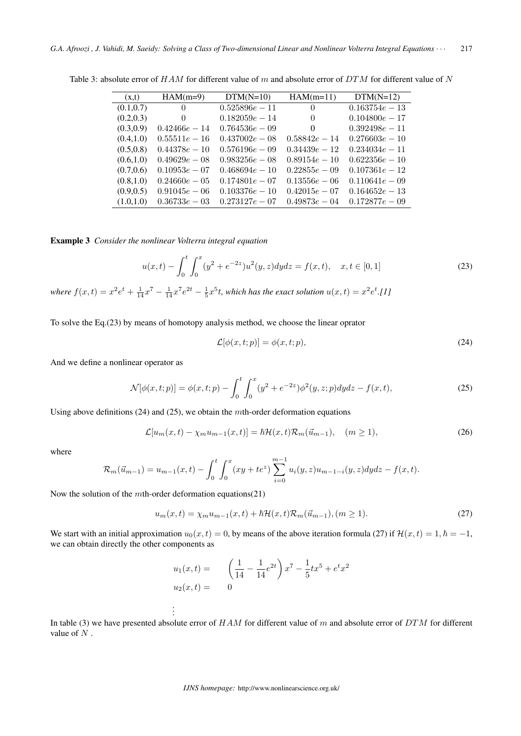| (x,t)      | $HAM(m=9)$      | $DTM(N=10)$      | $HAM(m=11)$      | $DTM(N=12)$       |
|------------|-----------------|------------------|------------------|-------------------|
| (0.1, 0.7) | $\theta$        | $0.525896e - 11$ | $\theta$         | $0.163754e - 13$  |
| (0.2, 0.3) | 0               | $0.182059e - 14$ | $\Omega$         | $0.104800e - 17$  |
| (0.3, 0.9) | $0.42466e - 14$ | $0.764536e - 09$ | 0                | $0.392498e - 11$  |
| (0.4, 1.0) | $0.55511e - 16$ | $0.437002e - 08$ | $0.58842e - 14$  | $0.276603e - 10$  |
| (0.5, 0.8) | $0.44378e - 10$ | $0.576196e - 09$ | $0.34439e - 12$  | $0.234034e - 11$  |
| (0.6, 1.0) | $0.49629e - 08$ | $0.983256e - 08$ | $0.89154e - 10$  | $0.622356e - 10$  |
| (0.7, 0.6) | $0.10953e - 07$ | $0.468694e - 10$ | $0.22855e - 0.9$ | $0.107361e - 12$  |
| (0.8, 1.0) | $0.24660e - 05$ | $0.174801e - 07$ | $0.13556e - 06$  | $0.110641e - 09$  |
| (0.9, 0.5) | $0.91045e - 06$ | $0.103376e - 10$ | $0.42015e - 07$  | $0.164652e - 13$  |
| (1.0, 1.0) | $0.36733e - 03$ | $0.273127e - 07$ | $0.49873e - 04$  | $0.172877e - 0.9$ |

Table 3: absolute error of  $HAM$  for different value of m and absolute error of  $DTM$  for different value of N

Example 3 *Consider the nonlinear Volterra integral equation*

$$
u(x,t) - \int_0^t \int_0^x (y^2 + e^{-2z}) u^2(y,z) dy dz = f(x,t), \quad x, t \in [0,1]
$$
\n(23)

*where*  $f(x,t) = x^2 e^t + \frac{1}{14} x^7 - \frac{1}{14} x^7 e^{2t} - \frac{1}{5} x^5 t$ , which has the exact solution  $u(x,t) = x^2 e^t$ .[1]

To solve the Eq.(23) by means of homotopy analysis method, we choose the linear oprator

$$
\mathcal{L}[\phi(x,t;p)] = \phi(x,t;p),\tag{24}
$$

And we define a nonlinear operator as

$$
\mathcal{N}[\phi(x,t;p)] = \phi(x,t;p) - \int_0^t \int_0^x (y^2 + e^{-2z}) \phi^2(y,z;p) dydz - f(x,t), \tag{25}
$$

Using above definitions  $(24)$  and  $(25)$ , we obtain the mth-order deformation equations

$$
\mathcal{L}[u_m(x,t) - \chi_m u_{m-1}(x,t)] = \hbar \mathcal{H}(x,t) \mathcal{R}_m(\vec{u}_{m-1}), \quad (m \ge 1), \tag{26}
$$

where

$$
\mathcal{R}_m(\vec{u}_{m-1}) = u_{m-1}(x,t) - \int_0^t \int_0^x (xy + te^z) \sum_{i=0}^{m-1} u_i(y,z)u_{m-1-i}(y,z)dydz - f(x,t).
$$

Now the solution of the  $m$ th-order deformation equations(21)

. .

$$
u_m(x,t) = \chi_m u_{m-1}(x,t) + \hbar \mathcal{H}(x,t) \mathcal{R}_m(\vec{u}_{m-1}), (m \ge 1).
$$
 (27)

We start with an initial approximation  $u_0(x, t) = 0$ , by means of the above iteration formula (27) if  $\mathcal{H}(x, t) = 1, \hbar = -1$ , we can obtain directly the other components as

$$
u_1(x,t) = \left(\frac{1}{14} - \frac{1}{14}e^{2t}\right)x^7 - \frac{1}{5}tx^5 + e^tx^2
$$
  

$$
u_2(x,t) = 0
$$

In table (3) we have presented absolute error of  $HAM$  for different value of m and absolute error of  $DTM$  for different value of  $N$ .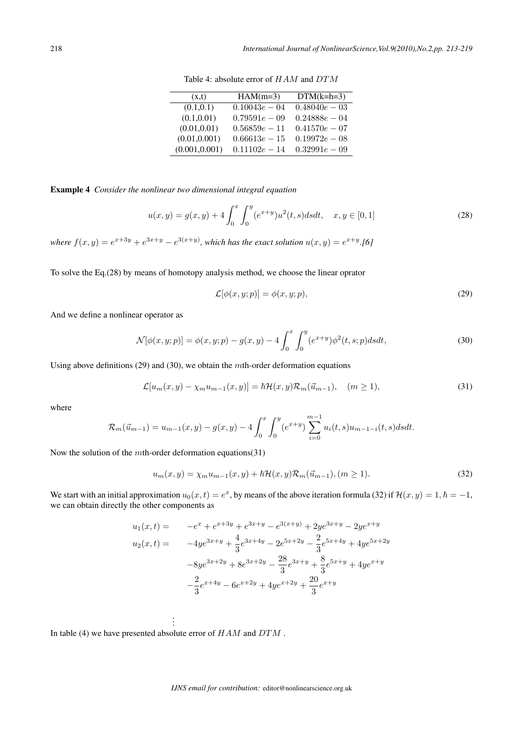| (x,t)          | $HAM(m=3)$      | $DTM(k=h=3)$    |
|----------------|-----------------|-----------------|
| (0.1, 0.1)     | $0.10043e - 04$ | $0.48040e - 03$ |
| (0.1, 0.01)    | $0.79591e - 09$ | $0.24888e - 04$ |
| (0.01, 0.01)   | $0.56859e - 11$ | $0.41570e - 07$ |
| (0.01, 0.001)  | $0.66613e - 15$ | $0.19972e - 08$ |
| (0.001, 0.001) | $0.11102e - 14$ | $0.32991e - 09$ |

Table 4: absolute error of  $HAM$  and  $DTM$ 

Example 4 *Consider the nonlinear two dimensional integral equation*

$$
u(x,y) = g(x,y) + 4 \int_0^x \int_0^y (e^{x+y}) u^2(t,s) ds dt, \quad x, y \in [0,1]
$$
 (28)

*where*  $f(x,y) = e^{x+3y} + e^{3x+y} - e^{3(x+y)}$ , which has the exact solution  $u(x,y) = e^{x+y}$ .[6]

To solve the Eq.(28) by means of homotopy analysis method, we choose the linear oprator

$$
\mathcal{L}[\phi(x, y; p)] = \phi(x, y; p),\tag{29}
$$

And we define a nonlinear operator as

$$
\mathcal{N}[\phi(x, y; p)] = \phi(x, y; p) - g(x, y) - 4 \int_0^x \int_0^y (e^{x+y}) \phi^2(t, s; p) ds dt,
$$
\n(30)

Using above definitions  $(29)$  and  $(30)$ , we obtain the mth-order deformation equations

$$
\mathcal{L}[u_m(x,y) - \chi_m u_{m-1}(x,y)] = \hbar \mathcal{H}(x,y) \mathcal{R}_m(\vec{u}_{m-1}), \quad (m \ge 1), \tag{31}
$$

where

$$
\mathcal{R}_m(\vec{u}_{m-1}) = u_{m-1}(x, y) - g(x, y) - 4 \int_0^x \int_0^y (e^{x+y}) \sum_{i=0}^{m-1} u_i(t, s) u_{m-1-i}(t, s) ds dt.
$$

Now the solution of the  $m$ th-order deformation equations(31)

$$
u_m(x,y) = \chi_m u_{m-1}(x,y) + \hbar \mathcal{H}(x,y) \mathcal{R}_m(\vec{u}_{m-1}), (m \ge 1).
$$
 (32)

We start with an initial approximation  $u_0(x,t) = e^x$ , by means of the above iteration formula (32) if  $\mathcal{H}(x,y) = 1, \hbar = -1$ , we can obtain directly the other components as

$$
u_1(x,t) = -e^x + e^{x+3y} + e^{3x+y} - e^{3(x+y)} + 2ye^{3x+y} - 2ye^{x+y}
$$
  
\n
$$
u_2(x,t) = -4ye^{3x+y} + \frac{4}{3}e^{3x+4y} - 2e^{5x+2y} - \frac{2}{3}e^{5x+4y} + 4ye^{5x+2y}
$$
  
\n
$$
-8ye^{3x+2y} + 8e^{3x+2y} - \frac{28}{3}e^{3x+y} + \frac{8}{3}e^{5x+y} + 4ye^{x+y}
$$
  
\n
$$
-\frac{2}{3}e^{x+4y} - 6e^{x+2y} + 4ye^{x+2y} + \frac{20}{3}e^{x+y}
$$

In table (4) we have presented absolute error of  $HAM$  and  $DTM$  .

. . .